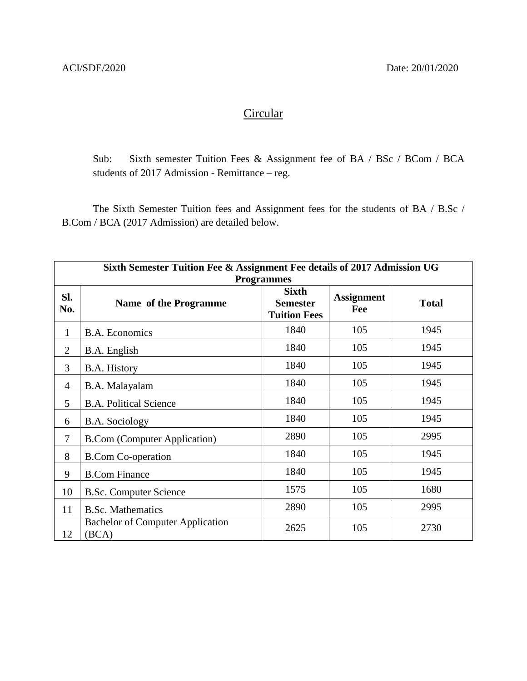## **Circular**

Sub: Sixth semester Tuition Fees & Assignment fee of BA / BSc / BCom / BCA students of 2017 Admission - Remittance – reg.

The Sixth Semester Tuition fees and Assignment fees for the students of BA / B.Sc / B.Com / BCA (2017 Admission) are detailed below.

| Sixth Semester Tuition Fee & Assignment Fee details of 2017 Admission UG |                                                  |                                                        |                          |              |  |
|--------------------------------------------------------------------------|--------------------------------------------------|--------------------------------------------------------|--------------------------|--------------|--|
| <b>Programmes</b>                                                        |                                                  |                                                        |                          |              |  |
| SI.<br>No.                                                               | Name of the Programme                            | <b>Sixth</b><br><b>Semester</b><br><b>Tuition Fees</b> | <b>Assignment</b><br>Fee | <b>Total</b> |  |
| $\mathbf{1}$                                                             | <b>B.A. Economics</b>                            | 1840                                                   | 105                      | 1945         |  |
| $\overline{2}$                                                           | B.A. English                                     | 1840                                                   | 105                      | 1945         |  |
| 3                                                                        | B.A. History                                     | 1840                                                   | 105                      | 1945         |  |
| $\overline{4}$                                                           | B.A. Malayalam                                   | 1840                                                   | 105                      | 1945         |  |
| 5                                                                        | <b>B.A. Political Science</b>                    | 1840                                                   | 105                      | 1945         |  |
| 6                                                                        | <b>B.A.</b> Sociology                            | 1840                                                   | 105                      | 1945         |  |
| $\overline{7}$                                                           | <b>B.Com (Computer Application)</b>              | 2890                                                   | 105                      | 2995         |  |
| 8                                                                        | <b>B.Com Co-operation</b>                        | 1840                                                   | 105                      | 1945         |  |
| 9                                                                        | <b>B.Com Finance</b>                             | 1840                                                   | 105                      | 1945         |  |
| 10                                                                       | <b>B.Sc. Computer Science</b>                    | 1575                                                   | 105                      | 1680         |  |
| 11                                                                       | <b>B.Sc. Mathematics</b>                         | 2890                                                   | 105                      | 2995         |  |
| 12                                                                       | <b>Bachelor of Computer Application</b><br>(BCA) | 2625                                                   | 105                      | 2730         |  |